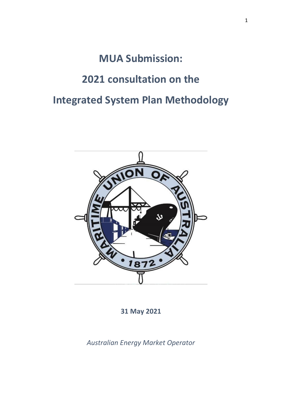# **MUA Submission: 2021 consultation on the Integrated System Plan Methodology**



**31 May 2021**

*Australian Energy Market Operator*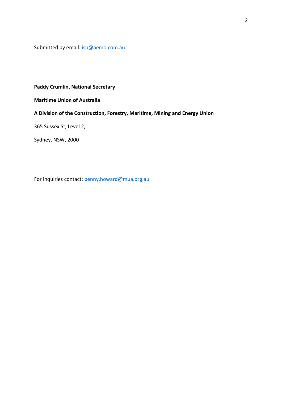Submitted by email: **isp@aemo.com.au** 

## **Paddy Crumlin, National Secretary**

**Maritime Union of Australia**

# **A Division of the Construction, Forestry, Maritime, Mining and Energy Union**

365 Sussex St, Level 2,

Sydney, NSW, 2000

For inquiries contact: [penny.howard@mua.org.au](mailto:penny.howard@mua.org.au)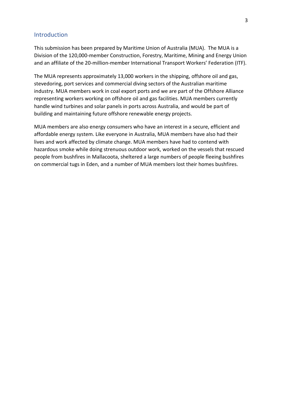### **Introduction**

This submission has been prepared by Maritime Union of Australia (MUA). The MUA is a Division of the 120,000-member Construction, Forestry, Maritime, Mining and Energy Union and an affiliate of the 20-million-member International Transport Workers' Federation (ITF).

The MUA represents approximately 13,000 workers in the shipping, offshore oil and gas, stevedoring, port services and commercial diving sectors of the Australian maritime industry. MUA members work in coal export ports and we are part of the Offshore Alliance representing workers working on offshore oil and gas facilities. MUA members currently handle wind turbines and solar panels in ports across Australia, and would be part of building and maintaining future offshore renewable energy projects.

MUA members are also energy consumers who have an interest in a secure, efficient and affordable energy system. Like everyone in Australia, MUA members have also had their lives and work affected by climate change. MUA members have had to contend with hazardous smoke while doing strenuous outdoor work, worked on the vessels that rescued people from bushfires in Mallacoota, sheltered a large numbers of people fleeing bushfires on commercial tugs in Eden, and a number of MUA members lost their homes bushfires.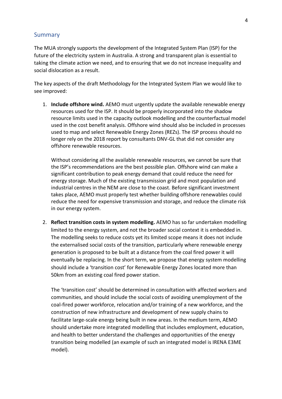#### Summary

The MUA strongly supports the development of the Integrated System Plan (ISP) for the future of the electricity system in Australia. A strong and transparent plan is essential to taking the climate action we need, and to ensuring that we do not increase inequality and social dislocation as a result.

The key aspects of the draft Methodology for the Integrated System Plan we would like to see improved:

1. **Include offshore wind.** AEMO must urgently update the available renewable energy resources used for the ISP. It should be properly incorporated into the shadow resource limits used in the capacity outlook modelling and the counterfactual model used in the cost benefit analysis. Offshore wind should also be included in processes used to map and select Renewable Energy Zones (REZs). The ISP process should no longer rely on the 2018 report by consultants DNV-GL that did not consider any offshore renewable resources.

Without considering all the available renewable resources, we cannot be sure that the ISP's recommendations are the best possible plan. Offshore wind can make a significant contribution to peak energy demand that could reduce the need for energy storage. Much of the existing transmission grid and most population and industrial centres in the NEM are close to the coast. Before significant investment takes place, AEMO must properly test whether building offshore renewables could reduce the need for expensive transmission and storage, and reduce the climate risk in our energy system.

2. **Reflect transition costs in system modelling.** AEMO has so far undertaken modelling limited to the energy system, and not the broader social context it is embedded in. The modelling seeks to reduce costs yet its limited scope means it does not include the externalised social costs of the transition, particularly where renewable energy generation is proposed to be built at a distance from the coal fired power it will eventually be replacing. In the short term, we propose that energy system modelling should include a 'transition cost' for Renewable Energy Zones located more than 50km from an existing coal fired power station.

The 'transition cost' should be determined in consultation with affected workers and communities, and should include the social costs of avoiding unemployment of the coal-fired power workforce, relocation and/or training of a new workforce, and the construction of new infrastructure and development of new supply chains to facilitate large-scale energy being built in new areas. In the medium term, AEMO should undertake more integrated modelling that includes employment, education, and health to better understand the challenges and opportunities of the energy transition being modelled (an example of such an integrated model is IRENA E3ME model).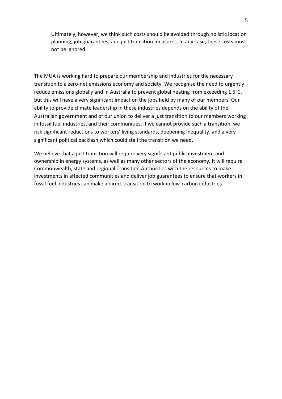Ultimately, however, we think such costs should be avoided through holistic location planning, job guarantees, and just transition measures. In any case, these costs must not be ignored.

The MUA is working hard to prepare our membership and industries for the necessary transition to a zero-net emissions economy and society. We recognise the need to urgently reduce emissions globally and in Australia to prevent global heating from exceeding 1.5°C, but this will have a very significant impact on the jobs held by many of our members. Our ability to provide climate leadership in these industries depends on the ability of the Australian government and of our union to deliver a just transition to our members working in fossil fuel industries, and their communities. If we cannot provide such a transition, we risk significant reductions to workers' living standards, deepening inequality, and a very significant political backlash which could stall the transition we need.

We believe that a just transition will require very significant public investment and ownership in energy systems, as well as many other sectors of the economy. It will require Commonwealth, state and regional Transition Authorities with the resources to make investments in affected communities and deliver job guarantees to ensure that workers in fossil fuel industries can make a direct transition to work in low-carbon industries.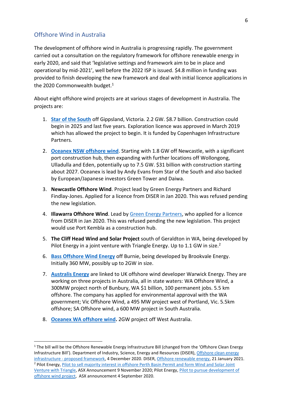## Offshore Wind in Australia

The development of offshore wind in Australia is progressing rapidly. The government carried out a consultation on the regulatory framework for offshore renewable energy in early 2020, and said that 'legislative settings and framework aim to be in place and operational by mid-2021', well before the 2022 ISP is issued. \$4.8 million in funding was provided to finish developing the new framework and deal with initial licence applications in the 2020 Commonwealth budget.<sup>1</sup>

About eight offshore wind projects are at various stages of development in Australia. The projects are:

- 1. **[Star of the South](https://www.starofthesouth.com.au/)** off Gippsland, Victoria. 2.2 GW. \$8.7 billion. Construction could begin in 2025 and last five years. Exploration licence was approved in March 2019 which has allowed the project to begin. It is funded by Copenhagen Infrastructure Partners.
- 2. **[Oceanex NSW offshore wind](https://reneweconomy.com.au/oceanex-eyes-massive-10gw-of-offshore-and-floating-wind-farms-in-australia/)**. Starting with 1.8 GW off Newcastle, with a significant port construction hub, then expanding with further locations off Wollongong, Ulladulla and Eden, potentially up to 7.5 GW. \$31 billion with construction starting about 2027. Oceanex is lead by Andy Evans from Star of the South and also backed by European/Japanese investors Green Tower and Daiwa.
- 3. **Newcastle Offshore Wind**. Project lead by Green Energy Partners and Richard Findlay-Jones. Applied for a licence from DISER in Jan 2020. This was refused pending the new legislation.
- 4. **Illawarra Offshore Wind**. Lead by [Green Energy Partners,](https://greenenergy.partners/) who applied for a licence from DISER in Jan 2020. This was refused pending the new legislation. This project would use Port Kembla as a construction hub.
- 5. **The Cliff Head Wind and Solar Project** south of Geraldton in WA, being developed by Pilot Energy in a joint venture with Triangle Energy. Up to 1.1 GW in size.<sup>2</sup>
- 6. **[Bass Offshore Wind Energy](https://brookvaleenergy.com/)** off Burnie, being developed by Brookvale Energy. Initially 360 MW, possibly up to 2GW in size.
- 7. **[Australis Energy](https://australis-energy.com/projects)** are linked to UK offshore wind developer Warwick Energy. They are working on three projects in Australia, all in state waters: WA Offshore Wind, a 300MW project north of Bunbury, WA \$1 billion, 100 permanent jobs. 5.5 km offshore. The company has applied for environmental approval with the WA government; Vic Offshore Wind, a 495 MW project west of Portland, Vic. 5.5km offshore; SA Offshore wind, a 600 MW project in South Australia.
- 8. **[Oceanex WA offshore wind.](https://reneweconomy.com.au/oceanex-eyes-massive-10gw-of-offshore-and-floating-wind-farms-in-australia/)** 2GW project off West Australia.

<sup>&</sup>lt;sup>1</sup> The bill will be the Offshore Renewable Energy Infrastructure Bill (changed from the 'Offshore Clean Energy Infrastructure Bill'). Department of Industry, Science, Energy and Resources (DISER), [Offshore clean energy](https://consult.industry.gov.au/offshore-exploration/offshore-clean-energy-infrastructure/)  infrastructure - [proposed framework,](https://consult.industry.gov.au/offshore-exploration/offshore-clean-energy-infrastructure/) 4 December 2020. DISER, [Offshore renewable energy,](https://www.industry.gov.au/policies-and-initiatives/australias-climate-change-strategies/offshore-renewable-energy) 21 January 2021. <sup>2</sup> Pilot Energy, [Pilot to sell majority interest in offshore Perth Basin Permit and form Wind and Solar Joint](https://www.pilotenergy.com.au/sites/pilotenergy.com.au/files/asx-announcements/61006258.pdf)  [Venture with Triangle,](https://www.pilotenergy.com.au/sites/pilotenergy.com.au/files/asx-announcements/61006258.pdf) ASX Announcement 9 November 2020; Pilot Energy, [Pilot to pursue development of](https://www.pilotenergy.com.au/sites/pilotenergy.com.au/files/asx-announcements/6994584.pdf)  [offshore wind project,](https://www.pilotenergy.com.au/sites/pilotenergy.com.au/files/asx-announcements/6994584.pdf) ASX announcement 4 September 2020.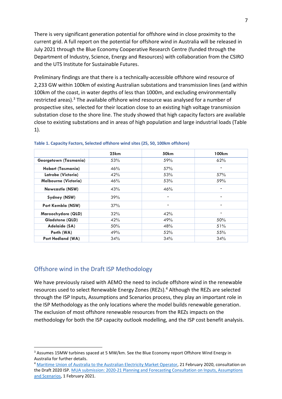There is very significant generation potential for offshore wind in close proximity to the current grid. A full report on the potential for offshore wind in Australia will be released in July 2021 through the Blue Economy Cooperative Research Centre (funded through the Department of Industry, Science, Energy and Resources) with collaboration from the CSIRO and the UTS Institute for Sustainable Futures.

Preliminary findings are that there is a technically-accessible offshore wind resource of 2,233 GW within 100km of existing Australian substations and transmission lines (and within 100km of the coast, in water depths of less than 1000m, and excluding environmentally restricted areas).<sup>3</sup> The available offshore wind resource was analysed for a number of prospective sites, selected for their location close to an existing high voltage transmission substation close to the shore line. The study showed that high capacity factors are available close to existing substations and in areas of high population and large industrial loads (Table 1).

|                             | 25km | 50km                         | 100km                    |
|-----------------------------|------|------------------------------|--------------------------|
| Georgetown (Tasmania)       | 53%  | 59%                          | 62%                      |
| Hobart (Tasmania)           | 46%  | 57%                          |                          |
| Latrobe (Victoria)          | 42%  | 53%                          | 57%                      |
| <b>Melbourne (Victoria)</b> | 46%  | 53%                          | 59%                      |
| <b>Newcastle (NSW)</b>      | 43%  | 46%                          | $\overline{\phantom{a}}$ |
| Sydney (NSW)                | 39%  | $\qquad \qquad \blacksquare$ | $\overline{\phantom{a}}$ |
| Port Kembla (NSW)           | 37%  |                              |                          |
| Maroochydore (QLD)          | 32%  | 42%                          |                          |
| <b>Gladstone (QLD)</b>      | 42%  | 49%                          | 50%                      |
| Adelaide (SA)               | 50%  | 48%                          | 51%                      |
| Perth (WA)                  | 49%  | 52%                          | 55%                      |
| <b>Port Hedland (WA)</b>    | 34%  | 34%                          | 34%                      |

**Table 1. Capacity Factors, Selected offshore wind sites (25, 50, 100km offshore)**

# Offshore wind in the Draft ISP Methodology

We have previously raised with AEMO the need to include offshore wind in the renewable resources used to select Renewable Energy Zones (REZs). <sup>4</sup> Although the REZs are selected through the ISP Inputs, Assumptions and Scenarios process, they play an important role in the ISP Methodology as the only locations where the model builds renewable generation. The exclusion of most offshore renewable resources from the REZs impacts on the methodology for both the ISP capacity outlook modelling, and the ISP cost benefit analysis.

<sup>&</sup>lt;sup>3</sup> Assumes 15MW turbines spaced at 5 MW/km. See the Blue Economy report Offshore Wind Energy in Australia for further details.

<sup>4</sup> [Maritime Union of Australia to the Australian Electricity Market Operator,](https://aemo.com.au/-/media/files/stakeholder_consultation/consultations/nem-consultations/2020/draft-2020-isp/submissions/maritime-union-of-australia-submission-draft-2020-isp.pdf?la=en) 21 February 2020, consultation on the Draft 2020 ISP. MUA submission: 2020-21 Planning and Forecasting Consultation on Inputs, Assumptions [and Scenarios,](https://aemo.com.au/-/media/files/stakeholder_consultation/consultations/nem-consultations/2021/iasr/submissions/maritime-union-of-australia.pdf?la=en) 1 February 2021.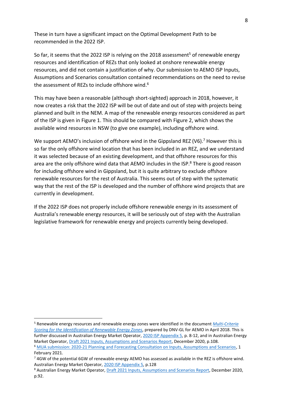These in turn have a significant impact on the Optimal Development Path to be recommended in the 2022 ISP.

So far, it seems that the 2022 ISP is relying on the 2018 assessment<sup>5</sup> of renewable energy resources and identification of REZs that only looked at onshore renewable energy resources, and did not contain a justification of why. Our submission to AEMO ISP Inputs, Assumptions and Scenarios consultation contained recommendations on the need to revise the assessment of REZs to include offshore wind.<sup>6</sup>

This may have been a reasonable (although short-sighted) approach in 2018, however, it now creates a risk that the 2022 ISP will be out of date and out of step with projects being planned and built in the NEM. A map of the renewable energy resources considered as part of the ISP is given in Figure 1. This should be compared with Figure 2, which shows the available wind resources in NSW (to give one example), including offshore wind.

We support AEMO's inclusion of offshore wind in the Gippsland REZ (V6).<sup>7</sup> However this is so far the only offshore wind location that has been included in an REZ, and we understand it was selected because of an existing development, and that offshore resources for this area are the only offshore wind data that AEMO includes in the ISP.<sup>8</sup> There is good reason for including offshore wind in Gippsland, but it is quite arbitrary to exclude offshore renewable resources for the rest of Australia. This seems out of step with the systematic way that the rest of the ISP is developed and the number of offshore wind projects that are currently in development.

If the 2022 ISP does not properly include offshore renewable energy in its assessment of Australia's renewable energy resources, it will be seriously out of step with the Australian legislative framework for renewable energy and projects currently being developed.

<sup>5</sup> Renewable energy resources and renewable energy zones were identified in the document *[Multi-Criteria](https://www.aemo.com.au/-/media/Files/Electricity/NEM/Planning_and_Forecasting/ISP/2018/Multi-Criteria-Scoring-for-Identification-of-REZs.pdf)  [Scoring for the Identification of Renewable Energy Zones](https://www.aemo.com.au/-/media/Files/Electricity/NEM/Planning_and_Forecasting/ISP/2018/Multi-Criteria-Scoring-for-Identification-of-REZs.pdf)*, prepared by DNV-GL for AEMO in April 2018. This is further discussed in Australian Energy Market Operator[, 2020 ISP Appendix 5,](https://aemo.com.au/-/media/files/major-publications/isp/2020/appendix--5.pdf?la=en) p. 8-12, and in Australian Energy Market Operator, [Draft 2021 Inputs, Assumptions and Scenarios Report,](https://aemo.com.au/en/consultations/current-and-closed-consultations/2021-planning-and-forecasting-consultation-on-inputs-assumptions-and-scenarios) December 2020, p.108. <sup>6</sup> [MUA submission: 2020-21 Planning and Forecasting Consultation on Inputs, Assumptions and Scenarios,](https://aemo.com.au/-/media/files/stakeholder_consultation/consultations/nem-consultations/2021/iasr/submissions/maritime-union-of-australia.pdf?la=en) 1

February 2021.

<sup>7</sup> 4GW of the potential 6GW of renewable energy AEMO has assessed as available in the REZ is offshore wind. Australian Energy Market Operator[, 2020 ISP Appendix 5,](https://aemo.com.au/-/media/files/major-publications/isp/2020/appendix--5.pdf?la=en) p.128

<sup>8</sup> Australian Energy Market Operator, [Draft 2021 Inputs, Assumptions and Scenarios Report,](https://aemo.com.au/en/consultations/current-and-closed-consultations/2021-planning-and-forecasting-consultation-on-inputs-assumptions-and-scenarios) December 2020, p.92.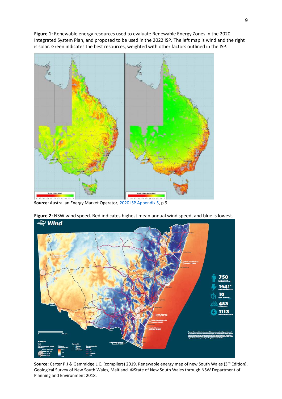**Figure 1:** Renewable energy resources used to evaluate Renewable Energy Zones in the 2020 Integrated System Plan, and proposed to be used in the 2022 ISP. The left map is wind and the right is solar. Green indicates the best resources, weighted with other factors outlined in the ISP.



Source: Australian Energy Market Operator, [2020 ISP Appendix 5,](https://aemo.com.au/-/media/files/major-publications/isp/2020/appendix--5.pdf?la=en) p.9.



**Figure 2:** NSW wind speed. Red indicates highest mean annual wind speed, and blue is lowest. <u>ਵ</u>ੰਘ Wind

Source: Carter P.J & Gammidge L.C. (compilers) 2019. Renewable energy map of new South Wales (3<sup>rd</sup> Edition). Geological Survey of New South Wales, Maitland. ©State of New South Wales through NSW Department of Planning and Environment 2018.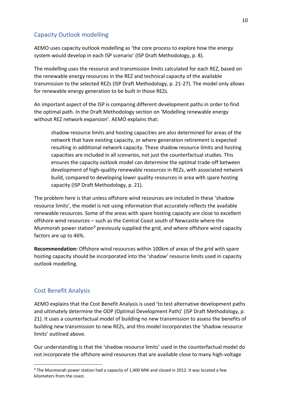# Capacity Outlook modelling

AEMO uses capacity outlook modelling as 'the core process to explore how the energy system would develop in each ISP scenario' (ISP Draft Methodology, p. 8).

The modelling uses the resource and transmission limits calculated for each REZ, based on the renewable energy resources in the REZ and technical capacity of the available transmission to the selected REZs (ISP Draft Methodology, p. 21-27). The model only allows for renewable energy generation to be built in those REZs.

An important aspect of the ISP is comparing different development paths in order to find the optimal path. In the Draft Methodology section on 'Modelling renewable energy without REZ network expansion'. AEMO explains that:

shadow resource limits and hosting capacities are also determined for areas of the network that have existing capacity, or where generation retirement is expected resulting in additional network capacity. These shadow resource limits and hosting capacities are included in all scenarios, not just the counterfactual studies. This ensures the capacity outlook model can determine the optimal trade-off between development of high-quality renewable resources in REZs, with associated network build, compared to developing lower quality resources in area with spare hosting capacity (ISP Draft Methodology, p. 21).

The problem here is that unless offshore wind resources are included in these 'shadow resource limits', the model is not using information that accurately reflects the available renewable resources. Some of the areas with spare hosting capacity are close to excellent offshore wind resources – such as the Central Coast south of Newcastle where the Munmorah power station<sup>9</sup> previously supplied the grid, and where offshore wind capacity factors are up to 46%.

**Recommendation:** Offshore wind resources within 100km of areas of the grid with spare hosting capacity should be incorporated into the 'shadow' resource limits used in capacity outlook modelling.

# Cost Benefit Analysis

AEMO explains that the Cost Benefit Analysis is used 'to test alternative development paths and ultimately determine the ODP (Optimal Development Path)' (ISP Draft Methodology, p. 21). It uses a counterfactual model of building no new transmission to assess the benefits of building new transmission to new REZs, and this model incorporates the 'shadow resource limits' outlined above.

Our understanding is that the 'shadow resource limits' used in the counterfactual model do not incorporate the offshore wind resources that are available close to many high-voltage

<sup>&</sup>lt;sup>9</sup> The Munmorah power station had a capacity of 1,400 MW and closed in 2012. It was located a few kilometers from the coast.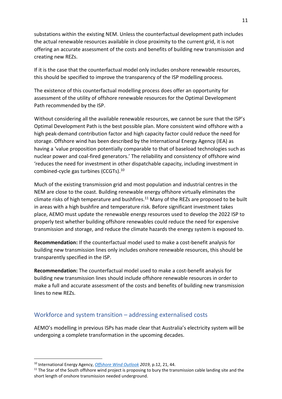substations within the existing NEM. Unless the counterfactual development path includes the actual renewable resources available in close proximity to the current grid, it is not offering an accurate assessment of the costs and benefits of building new transmission and creating new REZs.

If it is the case that the counterfactual model only includes onshore renewable resources, this should be specified to improve the transparency of the ISP modelling process.

The existence of this counterfactual modelling process does offer an opportunity for assessment of the utility of offshore renewable resources for the Optimal Development Path recommended by the ISP.

Without considering all the available renewable resources, we cannot be sure that the ISP's Optimal Development Path is the best possible plan. More consistent wind offshore with a high peak-demand contribution factor and high capacity factor could reduce the need for storage. Offshore wind has been described by the International Energy Agency (IEA) as having a 'value proposition potentially comparable to that of baseload technologies such as nuclear power and coal-fired generators.' The reliability and consistency of offshore wind 'reduces the need for investment in other dispatchable capacity, including investment in combined-cycle gas turbines (CCGTs).<sup>10</sup>

Much of the existing transmission grid and most population and industrial centres in the NEM are close to the coast. Building renewable energy offshore virtually eliminates the climate risks of high temperature and bushfires.<sup>11</sup> Many of the REZs are proposed to be built in areas with a high bushfire and temperature risk. Before significant investment takes place, AEMO must update the renewable energy resources used to develop the 2022 ISP to properly test whether building offshore renewables could reduce the need for expensive transmission and storage, and reduce the climate hazards the energy system is exposed to.

**Recommendation:** If the counterfactual model used to make a cost-benefit analysis for building new transmission lines only includes onshore renewable resources, this should be transparently specified in the ISP.

**Recommendation:** The counterfactual model used to make a cost-benefit analysis for building new transmission lines should include offshore renewable resources in order to make a full and accurate assessment of the costs and benefits of building new transmission lines to new REZs.

# Workforce and system transition – addressing externalised costs

AEMO's modelling in previous ISPs has made clear that Australia's electricity system will be undergoing a complete transformation in the upcoming decades.

<sup>10</sup> International Energy Agency, *[Offshore Wind Outlook](https://www.iea.org/reports/offshore-wind-outlook-2019) 2019*, p.12, 21, 44.

<sup>&</sup>lt;sup>11</sup> The Star of the South offshore wind project is proposing to bury the transmission cable landing site and the short length of onshore transmission needed underground.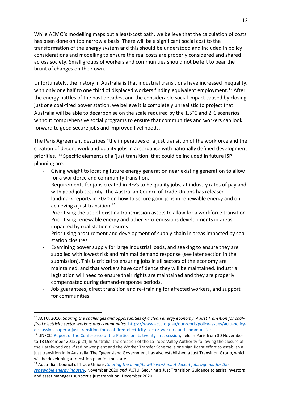While AEMO's modelling maps out a least-cost path, we believe that the calculation of costs has been done on too narrow a basis. There will be a significant social cost to the transformation of the energy system and this should be understood and included in policy considerations and modelling to ensure the real costs are properly considered and shared across society. Small groups of workers and communities should not be left to bear the brunt of changes on their own.

Unfortunately, the history in Australia is that industrial transitions have increased inequality, with only one half to one third of displaced workers finding equivalent employment.<sup>12</sup> After the energy battles of the past decades, and the considerable social impact caused by closing just one coal-fired power station, we believe it is completely unrealistic to project that Australia will be able to decarbonise on the scale required by the 1.5°C and 2°C scenarios without comprehensive social programs to ensure that communities and workers can look forward to good secure jobs and improved livelihoods.

The Paris Agreement describes "the imperatives of a just transition of the workforce and the creation of decent work and quality jobs in accordance with nationally defined development priorities."<sup>13</sup> Specific elements of a 'just transition' that could be included in future ISP planning are:

- Giving weight to locating future energy generation near existing generation to allow for a workforce and community transition.
- Requirements for jobs created in REZs to be quality jobs, at industry rates of pay and with good job security. The Australian Council of Trade Unions has released landmark reports in 2020 on how to secure good jobs in renewable energy and on achieving a just transition.<sup>14</sup>
- Prioritising the use of existing transmission assets to allow for a workforce transition
- Prioritising renewable energy and other zero-emissions developments in areas impacted by coal station closures
- Prioritising procurement and development of supply chain in areas impacted by coal station closures
- Examining power supply for large industrial loads, and seeking to ensure they are supplied with lowest risk and minimal demand response (see later section in the submission). This is critical to ensuring jobs in all sectors of the economy are maintained, and that workers have confidence they will be maintained. Industrial legislation will need to ensure their rights are maintained and they are properly compensated during demand-response periods.
- Job guarantees, direct transition and re-training for affected workers, and support for communities.

<sup>14</sup> Australian Council of Trade Unions, *[Sharing the benefits with workers: A decent jobs agenda for the](https://www.actu.org.au/media/1449336/renewable-energy-report.pdf)* 

<sup>&</sup>lt;sup>12</sup> ACTU, 2016, *Sharing the challenges and opportunities of a clean energy economy: A Just Transition for coalfired electricity sector workers and communities.* [https://www.actu.org.au/our-work/policy-issues/actu-policy](https://www.actu.org.au/our-work/policy-issues/actu-policy-discussion-paper-a-just-transition-for-coal-fired-electricity-sector-workers-and-communities)[discussion-paper-a-just-transition-for-coal-fired-electricity-sector-workers-and-communities.](https://www.actu.org.au/our-work/policy-issues/actu-policy-discussion-paper-a-just-transition-for-coal-fired-electricity-sector-workers-and-communities)

<sup>&</sup>lt;sup>13</sup> UNFCC[, Report of the Conference of the Parties on its twenty-first session,](https://unfccc.int/process/conferences/pastconferences/paris-climate-change-conference-november-2015/paris-agreement) held in Paris from 30 November to 13 December 2015, p.21, In Australia, the creation of the LaTrobe Valley Authority following the closure of the Hazelwood coal-fired power plant and the Worker Transfer Scheme is one significant effort to establish a just transition in in Australia. The Queensland Government has also established a Just Transition Group, which will be developing a transition plan for the state.

*[renewable energy industry,](https://www.actu.org.au/media/1449336/renewable-energy-report.pdf)* November 2020 *and* ACTU, Securing a Just Transition Guidance to assist investors and asset managers support a just transition, December 2020.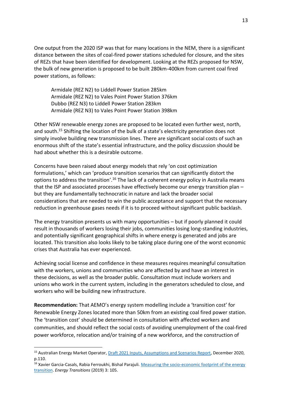One output from the 2020 ISP was that for many locations in the NEM, there is a significant distance between the sites of coal-fired power stations scheduled for closure, and the sites of REZs that have been identified for development. Looking at the REZs proposed for NSW, the bulk of new generation is proposed to be built 280km-400km from current coal fired power stations, as follows:

Armidale (REZ N2) to Liddell Power Station 285km Armidale (REZ N2) to Vales Point Power Station 376km Dubbo (REZ N3) to Liddell Power Station 283km Armidale (REZ N3) to Vales Point Power Station 398km

Other NSW renewable energy zones are proposed to be located even further west, north, and south.<sup>15</sup> Shifting the location of the bulk of a state's electricity generation does not simply involve building new transmission lines. There are significant social costs of such an enormous shift of the state's essential infrastructure, and the policy discussion should be had about whether this is a desirable outcome.

Concerns have been raised about energy models that rely 'on cost optimization formulations,' which can 'produce transition scenarios that can significantly distort the options to address the transition'.<sup>16</sup> The lack of a coherent energy policy in Australia means that the ISP and associated processes have effectively become our energy transition plan – but they are fundamentally technocratic in nature and lack the broader social considerations that are needed to win the public acceptance and support that the necessary reduction in greenhouse gases needs if it is to proceed without significant public backlash.

The energy transition presents us with many opportunities – but if poorly planned it could result in thousands of workers losing their jobs, communities losing long-standing industries, and potentially significant geographical shifts in where energy is generated and jobs are located. This transition also looks likely to be taking place during one of the worst economic crises that Australia has ever experienced.

Achieving social license and confidence in these measures requires meaningful consultation with the workers, unions and communities who are affected by and have an interest in these decisions, as well as the broader public. Consultation must include workers and unions who work in the current system, including in the generators scheduled to close, and workers who will be building new infrastructure.

**Recommendation:** That AEMO's energy system modelling include a 'transition cost' for Renewable Energy Zones located more than 50km from an existing coal fired power station. The 'transition cost' should be determined in consultation with affected workers and communities, and should reflect the social costs of avoiding unemployment of the coal-fired power workforce, relocation and/or training of a new workforce, and the construction of

<sup>&</sup>lt;sup>15</sup> Australian Energy Market Operator, **Draft 2021 Inputs, Assumptions and Scenarios Report**, December 2020, p.110.

<sup>&</sup>lt;sup>16</sup> Xavier Garcia-Casals, Rabia Ferroukhi, Bishal Parajuli. Measuring the socio-economic footprint of the energy [transition.](https://doi.org/10.1007/s41825-019-00018-6) *Energy Transitions* (2019) 3: 105.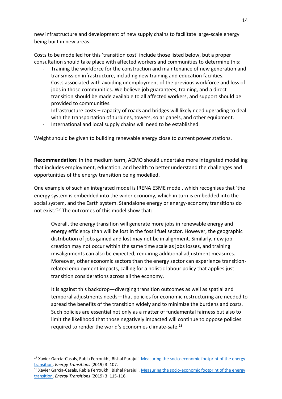new infrastructure and development of new supply chains to facilitate large-scale energy being built in new areas.

Costs to be modelled for this 'transition cost' include those listed below, but a proper consultation should take place with affected workers and communities to determine this:

- Training the workforce for the construction and maintenance of new generation and transmission infrastructure, including new training and education facilities.
- Costs associated with avoiding unemployment of the previous workforce and loss of jobs in those communities. We believe job guarantees, training, and a direct transition should be made available to all affected workers, and support should be provided to communities.
- Infrastructure costs capacity of roads and bridges will likely need upgrading to deal with the transportation of turbines, towers, solar panels, and other equipment.
- International and local supply chains will need to be established.

Weight should be given to building renewable energy close to current power stations.

**Recommendation**: In the medium term, AEMO should undertake more integrated modelling that includes employment, education, and health to better understand the challenges and opportunities of the energy transition being modelled.

One example of such an integrated model is IRENA E3ME model, which recognises that 'the energy system is embedded into the wider economy, which in turn is embedded into the social system, and the Earth system. Standalone energy or energy-economy transitions do not exist.'<sup>17</sup> The outcomes of this model show that:

Overall, the energy transition will generate more jobs in renewable energy and energy efficiency than will be lost in the fossil fuel sector. However, the geographic distribution of jobs gained and lost may not be in alignment. Similarly, new job creation may not occur within the same time scale as jobs losses, and training misalignments can also be expected, requiring additional adjustment measures. Moreover, other economic sectors than the energy sector can experience transitionrelated employment impacts, calling for a holistic labour policy that applies just transition considerations across all the economy.

It is against this backdrop—diverging transition outcomes as well as spatial and temporal adjustments needs—that policies for economic restructuring are needed to spread the benefits of the transition widely and to minimize the burdens and costs. Such policies are essential not only as a matter of fundamental fairness but also to limit the likelihood that those negatively impacted will continue to oppose policies required to render the world's economies climate-safe.<sup>18</sup>

<sup>17</sup> Xavier Garcia-Casals, Rabia Ferroukhi, Bishal Parajuli. Measuring the socio-economic footprint of the energy [transition.](https://doi.org/10.1007/s41825-019-00018-6) *Energy Transitions* (2019) 3: 107.

<sup>18</sup> Xavier Garcia-Casals, Rabia Ferroukhi, Bishal Parajuli. Measuring the socio-economic footprint of the energy [transition.](https://doi.org/10.1007/s41825-019-00018-6) *Energy Transitions* (2019) 3: 115-116.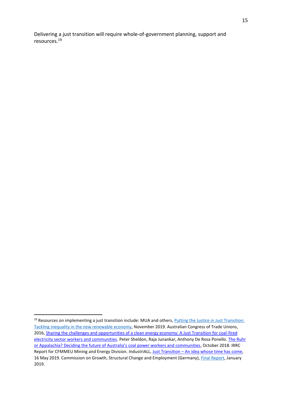Delivering a just transition will require whole-of-government planning, support and resources.<sup>19</sup>

<sup>&</sup>lt;sup>19</sup> Resources on implementing a just transition include: MUA and others, Putting the Justice in Just Transition: [Tackling inequality in the new renewable economy,](https://www.mua.org.au/sites/mua.org.au/files/2020%20Just%20transition%20and%20the%20star%20of%20the%20south%20report%20updated.pdf#overlay-context=news/report-government-backing-offshore-wind-can-address-climate-change-and-provide-just-transition) November 2019. Australian Congress of Trade Unions, 2016, Sharing the challenges and opportunities of a clean energy economy: A Just Transition for coal-fired [electricity sector workers and communities.](https://www.actu.org.au/our-work/policy-issues/actu-policy-discussion-paper-a-just-transition-for-coal-fired-electricity-sector-workers-and-communities) Peter Sheldon, Raja Junankar, Anthony De Rosa Ponello. The Ruhr or Appalachia? Deciding the future of [Australia's coal power workers and communities](https://me.cfmeu.org.au/news/download-report-deciding-future-australias-coal-power-workers-and-communities), October 2018. IRRC Report for CFMMEU Mining and Energy Division. IndustriALL, Just Transition - [An idea whose time has come,](http://www.industriall-union.org/just-transition-an-idea-whose-time-has-come) 16 May 2019. Commission on Growth, Structural Change and Employment (Germany), [Final Report,](https://www.bmwi.de/Redaktion/EN/Publikationen/commission-on-growth-structural-change-and-employment.pdf?__blob=publicationFile&v=3) January 2019.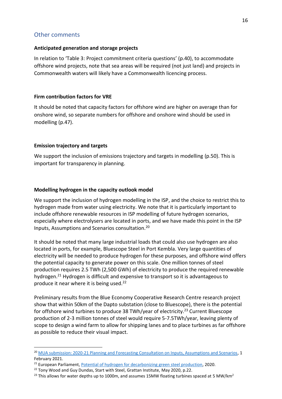## Other comments

#### **Anticipated generation and storage projects**

In relation to 'Table 3: Project commitment criteria questions' (p.40), to accommodate offshore wind projects, note that sea areas will be required (not just land) and projects in Commonwealth waters will likely have a Commonwealth licencing process.

## **Firm contribution factors for VRE**

It should be noted that capacity factors for offshore wind are higher on average than for onshore wind, so separate numbers for offshore and onshore wind should be used in modelling (p.47).

## **Emission trajectory and targets**

We support the inclusion of emissions trajectory and targets in modelling (p.50). This is important for transparency in planning.

## **Modelling hydrogen in the capacity outlook model**

We support the inclusion of hydrogen modelling in the ISP, and the choice to restrict this to hydrogen made from water using electricity. We note that it is particularly important to include offshore renewable resources in ISP modelling of future hydrogen scenarios, especially where electrolysers are located in ports, and we have made this point in the ISP Inputs, Assumptions and Scenarios consultation.<sup>20</sup>

It should be noted that many large industrial loads that could also use hydrogen are also located in ports, for example, Bluescope Steel in Port Kembla. Very large quantities of electricity will be needed to produce hydrogen for these purposes, and offshore wind offers the potential capacity to generate power on this scale. One million tonnes of steel production requires 2.5 TWh (2,500 GWh) of electricity to produce the required renewable hydrogen.<sup>21</sup> Hydrogen is difficult and expensive to transport so it is advantageous to produce it near where it is being used.<sup>22</sup>

Preliminary results from the Blue Economy Cooperative Research Centre research project show that within 50km of the Dapto substation (close to Bluescope), there is the potential for offshore wind turbines to produce 38 TWh/year of electricity.<sup>23</sup> Current Bluescope production of 2-3 million tonnes of steel would require 5-7.5TWh/year, leaving plenty of scope to design a wind farm to allow for shipping lanes and to place turbines as far offshore as possible to reduce their visual impact.

<sup>&</sup>lt;sup>20</sup> [MUA submission: 2020-21 Planning and Forecasting Consultation on Inputs, Assumptions and Scenarios,](https://aemo.com.au/-/media/files/stakeholder_consultation/consultations/nem-consultations/2021/iasr/submissions/maritime-union-of-australia.pdf?la=en) 1 February 2021.

<sup>&</sup>lt;sup>21</sup> European Parliament, [Potential of hydrogen for decarbonizing green steel production,](https://www.europarl.europa.eu/RegData/etudes/BRIE/2020/641552/EPRS_BRI(2020)641552_EN.pdf) 2020.

<sup>&</sup>lt;sup>22</sup> Tony Wood and Guy Dundas, Start with Steel, Grattan Institute, May 2020, p.22.

<sup>&</sup>lt;sup>23</sup> This allows for water depths up to 1000m, and assumes 15MW floating turbines spaced at 5 MW/km<sup>2</sup>